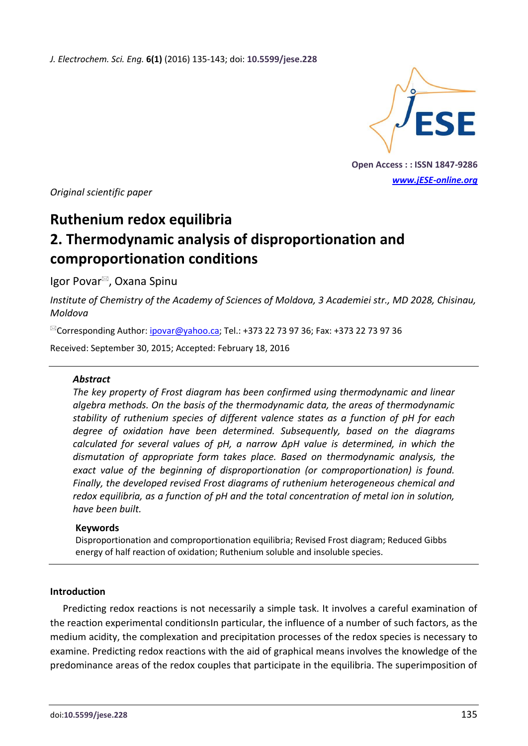*J. Electrochem. Sci. Eng.* **6(1)** (2016) 135-143; doi: **10.5599/jese.228**



**Open Access : : ISSN 1847-9286** *[www.jESE-online.org](http://www.jese-online.org/)*

*Original scientific paper*

# **Ruthenium redox equilibria**

# **2. Thermodynamic analysis of disproportionation and comproportionation conditions**

Igor Povar<sup>⊠</sup>, Oxana Spinu

*Institute of Chemistry of the Academy of Sciences of Moldova, 3 Academiei str., MD 2028, Chisinau, Moldova*

 $^{\boxtimes}$ Corresponding Author: [ipovar@yahoo.ca;](mailto:ipovar@yahoo.ca) Tel.: +373 22 73 97 36; Fax: +373 22 73 97 36

Received: September 30, 2015; Accepted: February 18, 2016

# *Abstract*

*The key property of Frost diagram has been confirmed using thermodynamic and linear algebra methods. On the basis of the thermodynamic data, the areas of thermodynamic stability of ruthenium species of different valence states as a function of pH for each degree of oxidation have been determined. Subsequently, based on the diagrams calculated for several values of pH, a narrow ΔpH value is determined, in which the dismutation of appropriate form takes place. Based on thermodynamic analysis, the exact value of the beginning of disproportionation (or comproportionation) is found. Finally, the developed revised Frost diagrams of ruthenium heterogeneous chemical and redox equilibria, as a function of pH and the total concentration of metal ion in solution, have been built.*

# **Keywords**

Disproportionation and comproportionation equilibria; Revised Frost diagram; Reduced Gibbs energy of half reaction of oxidation; Ruthenium soluble and insoluble species.

#### **Introduction**

Predicting redox reactions is not necessarily a simple task. It involves a careful examination of the reaction experimental conditionsIn particular, the influence of a number of such factors, as the medium acidity, the complexation and precipitation processes of the redox species is necessary to examine. Predicting redox reactions with the aid of graphical means involves the knowledge of the predominance areas of the redox couples that participate in the equilibria. The superimposition of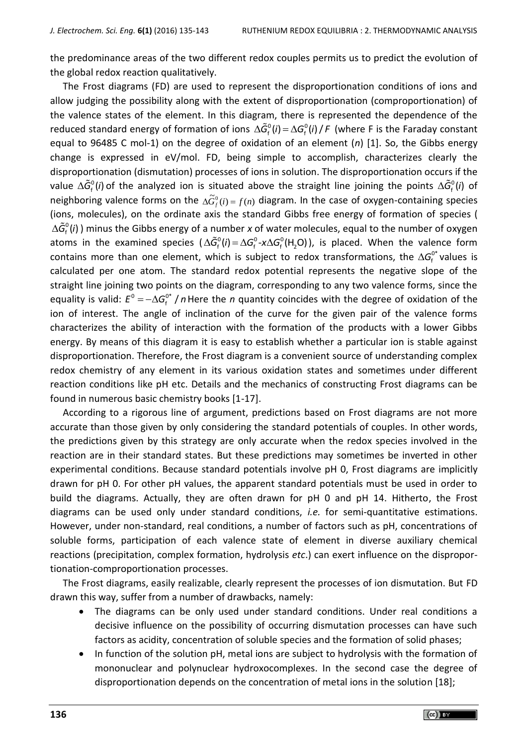the predominance areas of the two different redox couples permits us to predict the evolution of the global redox reaction qualitatively.

The Frost diagrams (FD) are used to represent the disproportionation conditions of ions and allow judging the possibility along with the extent of disproportionation (comproportionation) of the valence states of the element. In this diagram, there is represented the dependence of the reduced standard energy of formation of ions  $\Delta \tilde{G}_{f}^{0}(i) = \Delta G_{f}^{0}(i) / F$  (where F is the Faraday constant equal to 96485 C mol-1) on the degree of oxidation of an element (*n*) [1]. So, the Gibbs energy change is expressed in eV/mol. FD, being simple to accomplish, characterizes clearly the disproportionation (dismutation) processes of ions in solution. The disproportionation occurs if the value  $\Delta \tilde{G}_{f}^{0}(i)$  of the analyzed ion is situated above the straight line joining the points  $\Delta \tilde{G}_{f}^{0}(i)$  of neighboring valence forms on the  $\Delta \tilde{G}^0_f(i) = f(n)$  diagram. In the case of oxygen-containing species (ions, molecules), on the ordinate axis the standard Gibbs free energy of formation of species (  $\Delta \tilde{G}_{\rm f}^{\rm o}(i)$  ) minus the Gibbs energy of a number *x* of water molecules, equal to the number of oxygen atoms in the examined species  $(\Delta \tilde{G}_{f}^{0}(i) = \Delta G_{f}^{0} - x \Delta G_{f}^{0}(H_{2}O))$ , is placed. When the valence form contains more than one element, which is subject to redox transformations, the  $\Delta G_{\rm f}^{\rm O^*}$  values is calculated per one atom. The standard redox potential represents the negative slope of the straight line joining two points on the diagram, corresponding to any two valence forms, since the equality is valid:  $E^0 = - \Delta G_{\rm f}^{0*}$  $E^0 = -\Delta G_{\rm f}^{0\ast}$  / n Here the *n* quantity coincides with the degree of oxidation of the ion of interest. The angle of inclination of the curve for the given pair of the valence forms characterizes the ability of interaction with the formation of the products with a lower Gibbs energy. By means of this diagram it is easy to establish whether a particular ion is stable against disproportionation. Therefore, the Frost diagram is a convenient source of understanding complex redox chemistry of any element in its various oxidation states and sometimes under different reaction conditions like pH etc. Details and the mechanics of constructing Frost diagrams can be found in numerous basic chemistry books [1-17].

According to a rigorous line of argument, predictions based on Frost diagrams are not more accurate than those given by only considering the standard potentials of couples. In other words, the predictions given by this strategy are only accurate when the redox species involved in the reaction are in their standard states. But these predictions may sometimes be inverted in other experimental conditions. Because standard potentials involve pH 0, Frost diagrams are implicitly drawn for pH 0. For other pH values, the apparent standard potentials must be used in order to build the diagrams. Actually, they are often drawn for pH 0 and pH 14. Hitherto, the Frost diagrams can be used only under standard conditions, *i.e.* for semi-quantitative estimations. However, under non-standard, real conditions, a number of factors such as pH, concentrations of soluble forms, participation of each valence state of element in diverse auxiliary chemical reactions (precipitation, complex formation, hydrolysis *etc*.) can exert influence on the disproportionation-comproportionation processes.

The Frost diagrams, easily realizable, clearly represent the processes of ion dismutation. But FD drawn this way, suffer from a number of drawbacks, namely:

- The diagrams can be only used under standard conditions. Under real conditions a decisive influence on the possibility of occurring dismutation processes can have such factors as acidity, concentration of soluble species and the formation of solid phases;
- In function of the solution pH, metal ions are subject to hydrolysis with the formation of mononuclear and polynuclear hydroxocomplexes. In the second case the degree of disproportionation depends on the concentration of metal ions in the solution [18];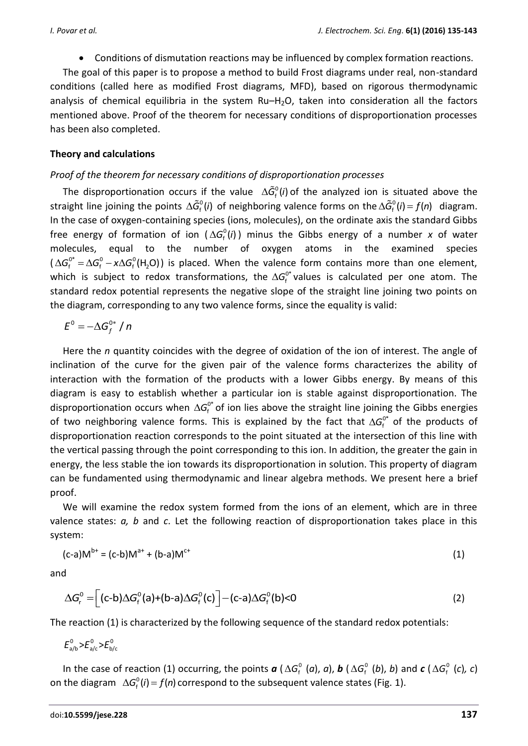Conditions of dismutation reactions may be influenced by complex formation reactions.

The goal of this paper is to propose a method to build Frost diagrams under real, non-standard conditions (called here as modified Frost diagrams, MFD), based on rigorous thermodynamic analysis of chemical equilibria in the system  $Ru-H<sub>2</sub>O$ , taken into consideration all the factors mentioned above. Proof of the theorem for necessary conditions of disproportionation processes has been also completed.

# **Theory and calculations**

# *Proof of the theorem for necessary conditions of disproportionation processes*

The disproportionation occurs if the value  $\Delta \tilde{G}_{f}^{\circ} (i)$  of the analyzed ion is situated above the straight line joining the points  $\Delta \tilde{G}_{f}^{0}(i)$  of neighboring valence forms on the  $\Delta \tilde{G}_{f}^{0}(i) = f(n)$  diagram. In the case of oxygen-containing species (ions, molecules), on the ordinate axis the standard Gibbs free energy of formation of ion  $(\Delta G_{\rm f}^{\rm o}(i))$  minus the Gibbs energy of a number *x* of water molecules, equal to the number of oxygen atoms in the examined species  $(\Delta G_f^{0*} = \Delta G_f^0 - x \Delta G_f^0 (H_2 O))$  is placed. When the valence form contains more than one element, which is subject to redox transformations, the  $\Delta G_f^{0*}$  values is calculated per one atom. The standard redox potential represents the negative slope of the straight line joining two points on the diagram, corresponding to any two valence forms, since the equality is valid:

$$
E^0=-\Delta G_f^{0*}/n
$$

Here the *n* quantity coincides with the degree of oxidation of the ion of interest. The angle of inclination of the curve for the given pair of the valence forms characterizes the ability of interaction with the formation of the products with a lower Gibbs energy. By means of this diagram is easy to establish whether a particular ion is stable against disproportionation. The disproportionation occurs when  $\Delta G_{f}^{0^*}$  of ion lies above the straight line joining the Gibbs energies of two neighboring valence forms. This is explained by the fact that  $\Delta G_f^{0^*}$  of the products of disproportionation reaction corresponds to the point situated at the intersection of this line with the vertical passing through the point corresponding to this ion. In addition, the greater the gain in energy, the less stable the ion towards its disproportionation in solution. This property of diagram can be fundamented using thermodynamic and linear algebra methods. We present here a brief proof.

We will examine the redox system formed from the ions of an element, which are in three valence states: *a, b* and *c*. Let the following reaction of disproportionation takes place in this system:

$$
(c-a)M^{b+} = (c-b)M^{a+} + (b-a)M^{c+} \tag{1}
$$

and

$$
\Delta G_r^0 = \left[ (c-b)\Delta G_f^0(a) + (b-a)\Delta G_f^0(c) \right] - (c-a)\Delta G_f^0(b) < 0 \tag{2}
$$

The reaction (1) is characterized by the following sequence of the standard redox potentials:

$$
E_{a/b}^{0}
$$
 >  $E_{a/c}^{0}$  >  $E_{b/c}^{0}$ 

In the case of reaction (1) occurring, the points  $a$  ( $\Delta G_f^0$  (*a*), *a*), *b* ( $\Delta G_f^0$  (*b*), *b*) and *c* ( $\Delta G_f^0$  (*c*), *c*) on the diagram  $\Delta G_f^0(i) = f(n)$  correspond to the subsequent valence states (Fig. 1).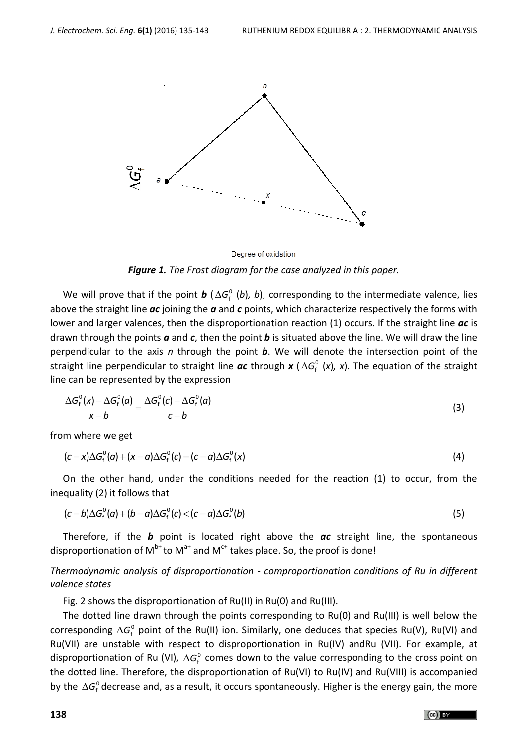

Degree of oxidation *Figure 1. The Frost diagram for the case analyzed in this paper.*

We will prove that if the point  $b$  ( $\Delta G_{\rm f}^{\rm o}$  (*b*), *b*), corresponding to the intermediate valence, lies above the straight line *ac* joining the *a* and *c* points, which characterize respectively the forms with lower and larger valences, then the disproportionation reaction (1) occurs. If the straight line *ac* is drawn through the points *a* and *c*, then the point *b* is situated above the line. We will draw the line perpendicular to the axis *n* through the point *b*. We will denote the intersection point of the straight line perpendicular to straight line *ac* through *x* ( <sup>0</sup> *G*<sup>f</sup> (*x*)*, x*). The equation of the straight line can be represented by the expression

$$
\frac{\Delta G_{\rm f}^{\rm o}(x) - \Delta G_{\rm f}^{\rm o}(a)}{x - b} = \frac{\Delta G_{\rm f}^{\rm o}(c) - \Delta G_{\rm f}^{\rm o}(a)}{c - b} \tag{3}
$$

from where we get

m where we get  
\n
$$
(c-x)\Delta G_f^0(a) + (x-a)\Delta G_f^0(c) = (c-a)\Delta G_f^0(x)
$$
\n(4)

On the other hand, under the conditions needed for the reaction (1) to occur, from the

inequality (2) it follows that  
\n
$$
(c-b)\Delta G_f^0(a) + (b-a)\Delta G_f^0(c) < (c-a)\Delta G_f^0(b)
$$
\n(5)

Therefore, if the *b* point is located right above the *ac* straight line, the spontaneous disproportionation of  $M^{b+}$  to  $M^{a+}$  and  $M^{c+}$  takes place. So, the proof is done!

*Thermodynamic analysis of disproportionation - comproportionation conditions of Ru in different valence states*

Fig. 2 shows the disproportionation of Ru(II) in Ru(0) and Ru(III).

The dotted line drawn through the points corresponding to Ru(0) and Ru(III) is well below the corresponding  $\Delta G_{\rm f}^0$  point of the Ru(II) ion. Similarly, one deduces that species Ru(V), Ru(VI) and Ru(VII) are unstable with respect to disproportionation in Ru(IV) andRu (VII). For example, at disproportionation of Ru (VI),  $\Delta G_{\rm f}^{\rm o}$  comes down to the value corresponding to the cross point on the dotted line. Therefore, the disproportionation of Ru(VI) to Ru(IV) and Ru(VIII) is accompanied by the  $\Delta G_{\rm f}^{\rm o}$  decrease and, as a result, it occurs spontaneously. Higher is the energy gain, the more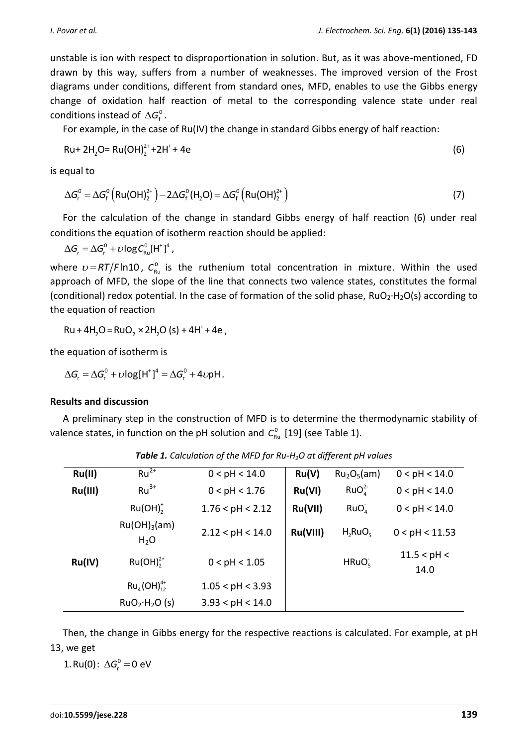(6)

unstable is ion with respect to disproportionation in solution. But, as it was above-mentioned, FD drawn by this way, suffers from a number of weaknesses. The improved version of the Frost diagrams under conditions, different from standard ones, MFD, enables to use the Gibbs energy change of oxidation half reaction of metal to the corresponding valence state under real conditions instead of  $\Delta G_{\rm f}^0$ .

For example, in the case of Ru(IV) the change in standard Gibbs energy of half reaction:

$$
Ru + 2H_2O = Ru(OH)_2^{2+} + 2H^+ + 4e
$$

is equal to

equal to  
\n
$$
\Delta G_r^0 = \Delta G_f^0 \left( \text{Ru(OH)}_2^{2+} \right) - 2\Delta G_f^0 \left( \text{H}_2\text{O} \right) = \Delta G_f^0 \left( \text{Ru(OH)}_2^{2+} \right)
$$
\n(7)

For the calculation of the change in standard Gibbs energy of half reaction (6) under real conditions the equation of isotherm reaction should be applied:

 $\Delta G_r = \Delta G_r^0 + \nu \log C_{\text{Ru}}^0 [\text{H}^+]^4$ ,

where  $\nu = RT/F \ln 10$ ,  $C_{\text{\tiny Ru}}^0$  is the ruthenium total concentration in mixture. Within the used approach of MFD, the slope of the line that connects two valence states, constitutes the formal (conditional) redox potential. In the case of formation of the solid phase, RuO2∙H2O(s) according to the equation of reaction

+  $Ru + 4H<sub>2</sub>O = RuO<sub>2</sub> × 2H<sub>2</sub>O (s) + 4H<sup>+</sup> + 4e$ 

the equation of isotherm is

 $\Delta G_r = \Delta G_r^0 + \nu \log[H^+]^4 = \Delta G_r^0 + 4\nu\rho H.$ 

# **Results and discussion**

A preliminary step in the construction of MFD is to determine the thermodynamic stability of valence states, in function on the pH solution and  $C_{\text{\tiny Ru}}^0$  [19] (see Table 1).

| Ru(II)  | $Ru^{2+}$                             | 0 < pH < 14.0    | Ru(V)    | Ru <sub>2</sub> O <sub>5</sub> (am) | 0 < pH < 14.0       |
|---------|---------------------------------------|------------------|----------|-------------------------------------|---------------------|
| Ru(III) | $Ru^{3+}$                             | 0 < pH < 1.76    | Ru(VI)   | RuO <sub>a</sub> <sup>2</sup>       | 0 < pH < 14.0       |
|         | Ru(OH) <sub>2</sub>                   | 1.76 < pH < 2.12 | Ru(VII)  | RuO <sub>A</sub>                    | 0 < pH < 14.0       |
|         | $Ru(OH)_{3}(am)$<br>H <sub>2</sub> O  | 2.12 < pH < 14.0 | Ru(VIII) | $H_2RuO_5$                          | 0 < pH < 11.53      |
| Ru(IV)  | $Ru(OH)22+$                           | 0 < pH < 1.05    |          | HRuO <sub>5</sub>                   | 11.5 < pH <<br>14.0 |
|         | $Ru_{4}(OH)_{12}^{4+}$                | 1.05 < pH < 3.93 |          |                                     |                     |
|         | RuO <sub>2</sub> ·H <sub>2</sub> O(s) | 3.93 < pH < 14.0 |          |                                     |                     |

*Table 1. Calculation of the MFD for Ru-H2O at different pH values*

Then, the change in Gibbs energy for the respective reactions is calculated. For example, at pH 13, we get

1. Ru(0):  $\Delta G_r^0 = 0$  eV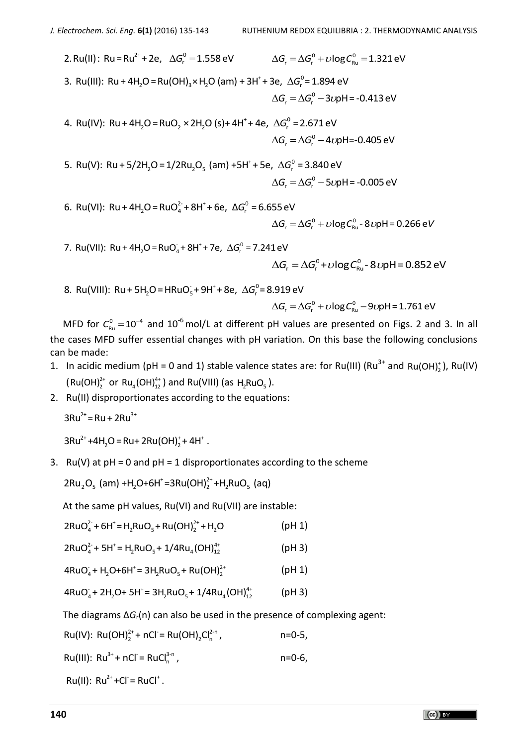2. Ru(II): Ru = Ru<sup>2+</sup> + 2e,  $\Delta G_r^0$  = 1.558 eV  $\Delta G_r = \Delta G_r^0 + \nu \log C_{\text{Ru}}^0 = 1.321 \text{ eV}$ <br>+ 3e,  $\Delta G_r^0 = 1.894 \text{ eV}$ 3. Ru(III): Ru + 4H<sub>2</sub>O = Ru(OH)<sub>3</sub>×H<sub>2</sub>O (am) + 3H<sup>+</sup> + 3e,  $\Delta G_r^0$  = 1.894 eV  $\Delta G_r = \Delta G_r^0 - 3\nu$ pH = -0.413 eV  $^{+}$  + 4e,  $\Delta G^{0}_{r}$  $\Delta G_r = \Delta G_r^0 - 3\nu_1$ <br>2 4. Ru(IV): Ru + 4H<sub>2</sub>O = RuO<sub>2</sub> × 2H<sub>2</sub>O (s)+ 4H<sup>+</sup> + 4e,  $\Delta G_r^0 = 2.671$  eV

$$
\Delta G_r = \Delta G_r^0 - 4\nu pH = -0.405 \text{ eV}
$$
\n(a) +5H<sup>+</sup> + 5e, \Delta G\_r^0 = 3.840 \text{ eV}

 $\Delta G_r = \Delta G_r^0 - 4\nu$ p<br>5. Ru(V): Ru + 5/2H<sub>2</sub>O = 1/2Ru<sub>2</sub>O<sub>5</sub> (am) +5H<sup>+</sup> + 5e,  $\Delta G_r^0$  = 3.840 eV  $\Delta G = \Delta G$ <sup>o</sup> - 5*v*pH = -0.005 eV

 $\frac{2}{4}$  + 8H<sup>+</sup> + 6e, ΔG<sup>o</sup>  $\Delta G_r =$ <br>6. Ru(VI): Ru + 4H<sub>2</sub>O = RuO<sup>2-</sup>+ 8H<sup>+</sup> + 6e,  $\Delta G_r^0$  = 6.655 eV  $\Delta G_r = \Delta G_r^0 + \upsilon \log C_{\text{Ru}}^0 - 8 \upsilon \rho H = 0.266 \text{ eV}$ 

7. Ru(VII): Ru + 4H<sub>2</sub>O = RuO<sub>4</sub> + 8H<sup>+</sup> + 7e,  $\Delta G_r^0$  = 7.241 eV

 $\Delta G_r = \Delta G_r^0 + \nu \log C_{\text{Ru}}^0 - 8 \nu \rho H = 0.852 \text{ eV}$ 

 $\frac{1}{5}$ +9H<sup>+</sup>+8e,  $\Delta G_r^0$  $\Delta G_{\sf r} = 2$ <br>28. Ru(VIII): Ru + 5H<sub>2</sub>O = HRuO<sub>s</sub> + 9H<sup>+</sup> + 8e,  $\Delta G_{\sf r}^{\rm o}$  = 8.919 eV

8.919 eV  
\n
$$
\Delta G_r = \Delta G_r^0 + \nu \log C_{\text{Ru}}^0 - 9\nu\rho H = 1.761 \text{ eV}
$$

MFD for  $C_{\text{Ru}}^0 = 10^{-4}$  and 10<sup>-6</sup> mol/L at different pH values are presented on Figs. 2 and 3. In all the cases MFD suffer essential changes with pH variation. On this base the following conclusions can be made:

- 1. In acidic medium (pH = 0 and 1) stable valence states are: for Ru(III) (Ru<sup>3+</sup> and Ru(OH)<sub>2</sub>), Ru(IV)  $(Ru(OH)<sub>2</sub><sup>2+</sup> or Ru<sub>4</sub>(OH)<sub>12</sub><sup>4+</sup>)$  and Ru(VIII) (as H<sub>2</sub>RuO<sub>5</sub>).
- 2. Ru(II) disproportionates according to the equations:

 $3Ru^{2+} = Ru + 2Ru^{3+}$ 

 $3Ru^{2+} + 4H_2O = Ru + 2Ru(OH)<sub>2</sub><sup>+</sup> + 4H<sup>+</sup>.$ 

3. Ru(V) at  $pH = 0$  and  $pH = 1$  disproportionates according to the scheme

Ru(V) at pH = 0 and pH = 1 disproportionates ac<br>2Ru<sub>2</sub>O<sub>5</sub> (am) +H<sub>2</sub>O+6H<sup>+</sup>=3Ru(OH)<sup>2+</sup>+H<sub>2</sub>RuO<sub>5</sub> (aq)

At the same pH values, Ru(VI) and Ru(VII) are instable:

| $\alpha$ and barne printerates, nativities nativity are instable.                                                         |               |
|---------------------------------------------------------------------------------------------------------------------------|---------------|
| $2RuOa2 + 6H+ = H2RuO5 + Ru(OH)22+ + H2O$                                                                                 | (pH 1)        |
| $2P_1 \cdot Q^2$ $\cdot$ $\Gamma_1 \cdot P_2 \cdot Q_3$ $\cdot$ $\Lambda_1 \cdot P_2 \cdot \Lambda_2 \cdot P_3 \cdot P_4$ | $1 - 11 - 21$ |

$$
2RuO42 + 5H+ = H2RuO5 + 1/4Ru4(OH)124+
$$
 (pH 3)

 $4RuO<sub>4</sub> + H<sub>2</sub>O + 6H<sup>+</sup> = 3H<sub>2</sub>RuO<sub>5</sub> + Ru(OH)<sub>2</sub><sup>2+</sup>$ (pH 1)

 $4 \text{RuO}_4 + \text{H}_2\text{O} + \text{OH} = 3 \text{H}_2\text{NuO}_5 + \text{Nu(OH)}_2$  (pH 3)<br>  $4 \text{RuO}_4 + 2\text{H}_2\text{O} + 5\text{H}^* = 3\text{H}_2\text{RuO}_5 + 1/4\text{Ru}_4(\text{OH})_{12}^{4*}$  (pH 3)

The diagrams Δ*G*r(n) can also be used in the presence of complexing agent:

$$
Ru(IV): Ru(OH)22+ + nCl = Ru(OH)2Cln2-n, n=0-5,
$$

Ru(III):  $Ru^{3+}$  + nCl = RuCl<sub>n</sub><sup>3-n</sup>, , n=0-6,

 $Ru(II): Ru^{2+} + Cl = RuCl^{+}$ .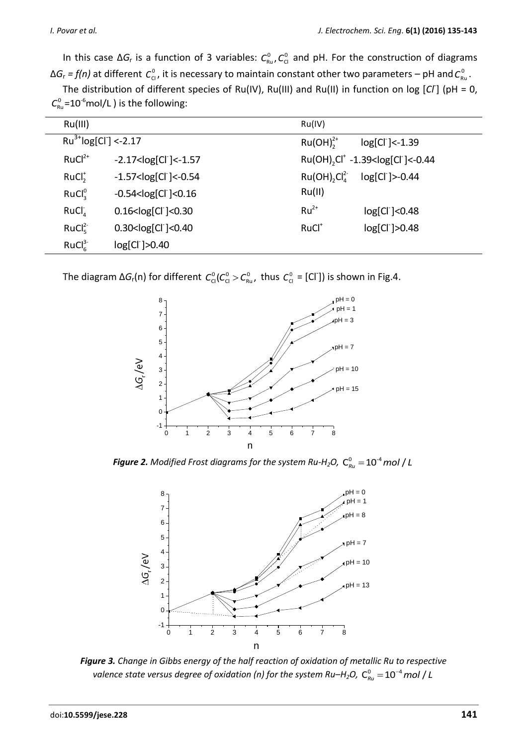In this case  $\Delta G_r$  is a function of 3 variables:  $C_{\rm Ru}^0$ ,  $C_{\rm Cl}^0$  and pH. For the construction of diagrams ΔG<sub>r</sub> = f(n) at different  $C_{\text{cl}}^0$ , it is necessary to maintain constant other two parameters – pH and  $C_{\text{Ru}}^0$ .

The distribution of different species of Ru(IV), Ru(III) and Ru(II) in function on log [Cl<sup>-</sup>] (pH = 0,  $C_{\text{\tiny Ru}}^{\text{\tiny O}}$ =10<sup>-6</sup>mol/L ) is the following:

| Ru(III)                        |                               | Ru(IV)                                                             |  |  |
|--------------------------------|-------------------------------|--------------------------------------------------------------------|--|--|
| $Ru^{3+}log[Cl^{-}]$ <-2.17    |                               | $Ru(OH)22+$<br>log[Cl ] <-1.39                                     |  |  |
| $RuCl2+$                       | $-2.17 < log[Cl^{-}] < -1.57$ | Ru(OH), Cl <sup>+</sup> -1.39 <log[cl<sup>-]&lt;-0.44</log[cl<sup> |  |  |
| RuCl <sub>2</sub>              | $-1.57 < log[Cl] < -0.54$     | Ru(OH), Cl <sub>A</sub> <sup>2</sup><br>log[Cl ]>-0.44             |  |  |
| RuCl <sub>3</sub> <sup>0</sup> | $-0.54 < log[Cl^{-}] < 0.16$  | Ru(II)                                                             |  |  |
| RuCl <sub>A</sub>              | $0.16 < log[Cl^{-}] < 0.30$   | $Ru^{2+}$<br>log[Cl ]<0.48                                         |  |  |
| $RuCl_{5}^{2-}$                | $0.30 < log[Cl^{-}] < 0.40$   | RuCl <sup>+</sup><br>$log[Cl^{-}]>0.48$                            |  |  |
| RuCl <sub>6</sub> <sup>3</sup> | log[Cl ]>0.40                 |                                                                    |  |  |

The diagram  $\Delta G_r(n)$  for different  $C^0_{Cl}(C^0_{Cl} > C^0_{Ru}$ , thus  $C^0_{Cl} = [Cl^r]$ ) is shown in Fig.4.



*Figure 2. Modified Frost diagrams for the system Ru-H<sub>2</sub>O,*  $\textsf{C}_{\textit{Ru}}^{0}$  $=$  $10^{\textsf{-4}}$  *mol / L* 



*Figure 3. Change in Gibbs energy of the half reaction of oxidation of metallic Ru to respective valence state versus degree of oxidation (n) for the system Ru–H<sub>2</sub>O,*  $\textsf{C}_{\textsf{\tiny R} u}^{\textsf{0}}$  *= 10<sup>-4</sup> mol / L*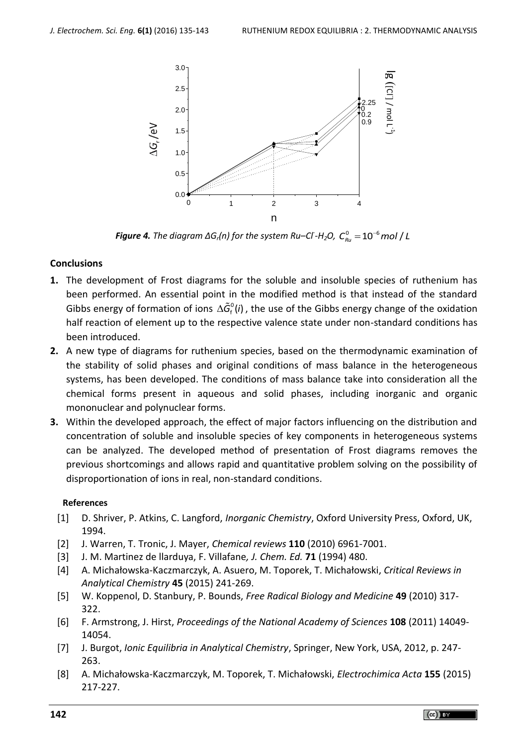

*Figure 4. The diagram ΔGr(n) for the system Ru–Cl- -H2O,*  0 6 10 / *C mol L Ru*

# **Conclusions**

- **1.** The development of Frost diagrams for the soluble and insoluble species of ruthenium has been performed. An essential point in the modified method is that instead of the standard Gibbs energy of formation of ions  $\Delta \tilde{G}_{f}^{0}(i)$ , the use of the Gibbs energy change of the oxidation half reaction of element up to the respective valence state under non-standard conditions has been introduced.
- **2.** A new type of diagrams for ruthenium species, based on the thermodynamic examination of the stability of solid phases and original conditions of mass balance in the heterogeneous systems, has been developed. The conditions of mass balance take into consideration all the chemical forms present in aqueous and solid phases, including inorganic and organic mononuclear and polynuclear forms.
- **3.** Within the developed approach, the effect of major factors influencing on the distribution and concentration of soluble and insoluble species of key components in heterogeneous systems can be analyzed. The developed method of presentation of Frost diagrams removes the previous shortcomings and allows rapid and quantitative problem solving on the possibility of disproportionation of ions in real, non-standard conditions.

# **References**

- [1] D. Shriver, P. Atkins, C. Langford, *Inorganic Chemistry*, Oxford University Press, Oxford, UK, 1994.
- [2] J. Warren, T. Tronic, J. Mayer, *Chemical reviews* **110** (2010) 6961-7001.
- [3] J. M. Martinez de llarduya, F. Villafane*, J. Chem. Ed.* **71** (1994) 480.
- [4] A. Michałowska-Kaczmarczyk, A. Asuero, M. Toporek, T. Michałowski, *Critical Reviews in Analytical Chemistry* **45** (2015) 241-269.
- [5] W. Koppenol, D. Stanbury, P. Bounds, *Free Radical Biology and Medicine* **49** (2010) 317- 322.
- [6] F. Armstrong, J. Hirst, *Proceedings of the National Academy of Sciences* **108** (2011) 14049- 14054.
- [7] J. Burgot, *Ionic Equilibria in Analytical Chemistry*, Springer, New York, USA, 2012, p. 247- 263.
- [8] A. Michałowska-Kaczmarczyk, M. Toporek, T. Michałowski, *Electrochimica Acta* **155** (2015) 217-227.